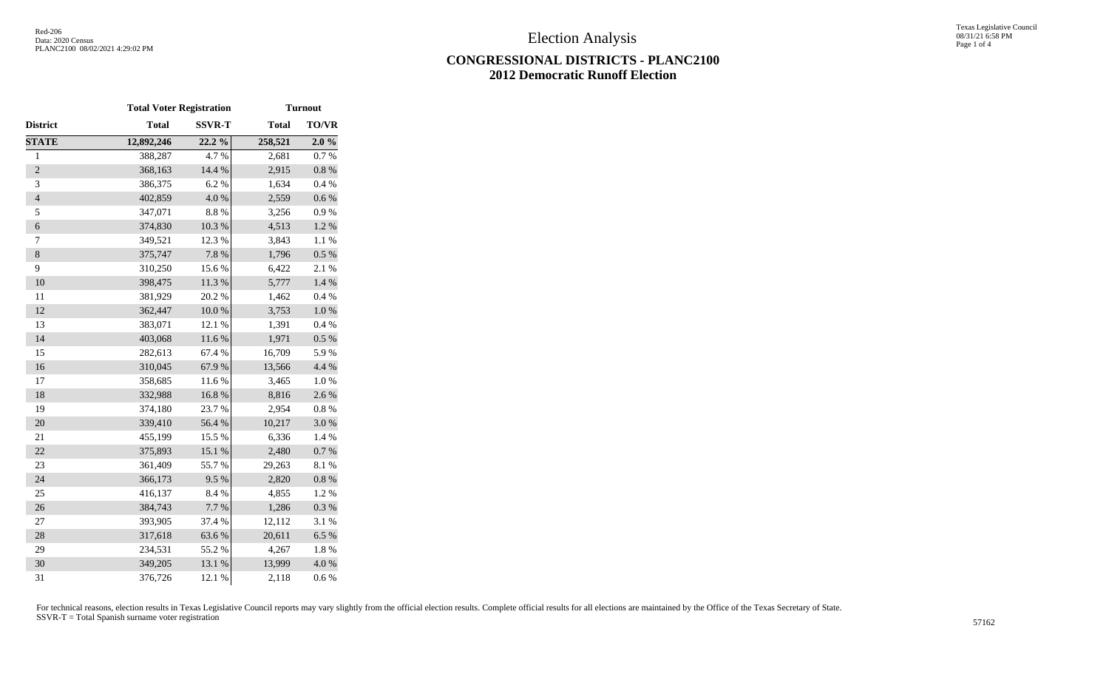## **CONGRESSIONAL DISTRICTS - PLANC2100 2012 Democratic Runoff Election**

|                | <b>Total Voter Registration</b> |               | <b>Turnout</b> |           |
|----------------|---------------------------------|---------------|----------------|-----------|
| District       | <b>Total</b>                    | <b>SSVR-T</b> | <b>Total</b>   | TO/VR     |
| <b>STATE</b>   | 12,892,246                      | 22.2%         | 258,521        | 2.0%      |
| $\mathbf{1}$   | 388,287                         | 4.7%          | 2,681          | 0.7%      |
| $\overline{c}$ | 368,163                         | 14.4 %        | 2,915          | $0.8~\%$  |
| 3              | 386,375                         | 6.2%          | 1,634          | 0.4 %     |
| $\overline{4}$ | 402,859                         | 4.0%          | 2,559          | $0.6\ \%$ |
| 5              | 347,071                         | 8.8 %         | 3,256          | 0.9 %     |
| $\epsilon$     | 374,830                         | $10.3~\%$     | 4,513          | $1.2~\%$  |
| $\tau$         | 349,521                         | 12.3 %        | 3,843          | 1.1 %     |
| $\,8\,$        | 375,747                         | 7.8%          | 1,796          | 0.5 %     |
| 9              | 310,250                         | 15.6%         | 6,422          | 2.1 %     |
| 10             | 398,475                         | 11.3%         | 5,777          | 1.4 %     |
| 11             | 381,929                         | 20.2 %        | 1,462          | 0.4%      |
| 12             | 362,447                         | $10.0~\%$     | 3,753          | $1.0\ \%$ |
| 13             | 383,071                         | 12.1 %        | 1,391          | 0.4%      |
| 14             | 403,068                         | 11.6 %        | 1,971          | 0.5 %     |
| 15             | 282,613                         | 67.4 %        | 16,709         | 5.9%      |
| 16             | 310,045                         | 67.9%         | 13,566         | 4.4 %     |
| 17             | 358,685                         | 11.6%         | 3,465          | 1.0%      |
| 18             | 332,988                         | 16.8 %        | 8,816          | 2.6%      |
| 19             | 374,180                         | 23.7%         | 2,954          | $0.8~\%$  |
| 20             | 339,410                         | 56.4 %        | 10,217         | 3.0%      |
| 21             | 455,199                         | 15.5 %        | 6,336          | 1.4 %     |
| 22             | 375,893                         | 15.1 %        | 2,480          | 0.7 %     |
| 23             | 361,409                         | 55.7%         | 29,263         | 8.1%      |
| 24             | 366,173                         | 9.5%          | 2,820          | $0.8~\%$  |
| 25             | 416,137                         | 8.4%          | 4,855          | 1.2%      |
| 26             | 384,743                         | 7.7 %         | 1,286          | 0.3 %     |
| 27             | 393,905                         | 37.4 %        | 12,112         | 3.1 %     |
| 28             | 317,618                         | 63.6%         | 20,611         | 6.5%      |
| 29             | 234,531                         | 55.2 %        | 4,267          | 1.8%      |
| 30             | 349,205                         | 13.1 %        | 13,999         | 4.0%      |
| 31             | 376,726                         | 12.1 %        | 2,118          | 0.6 %     |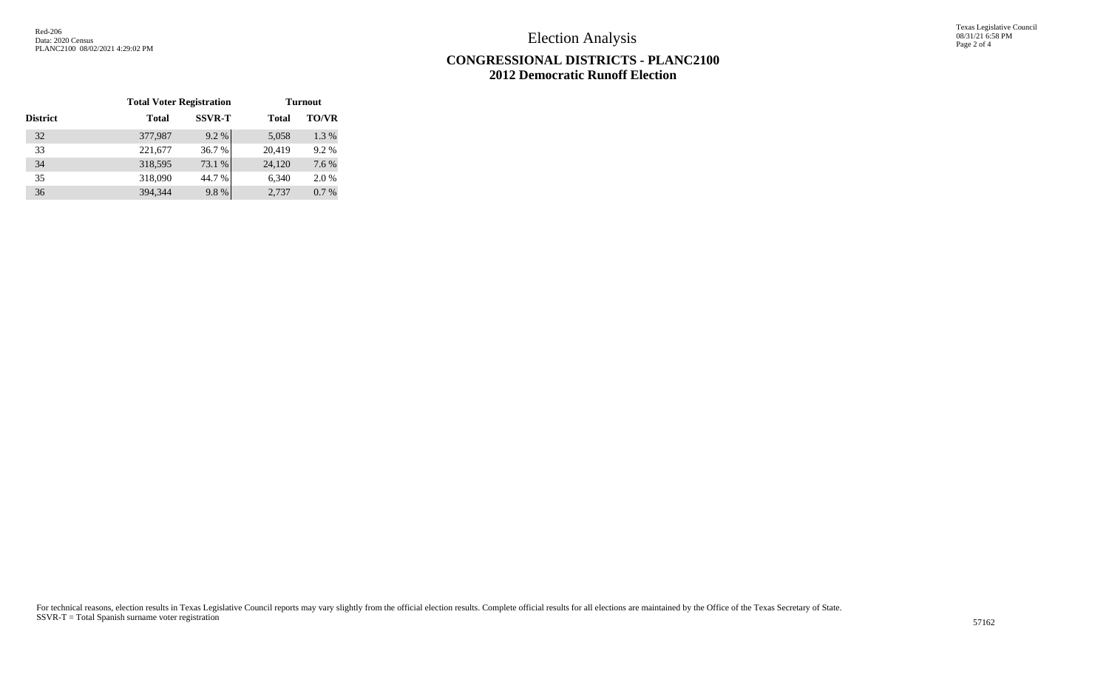Election Analysis

Texas Legislative Council 08/31/21 6:58 PM Page 2 of 4

## **CONGRESSIONAL DISTRICTS - PLANC2100 2012 Democratic Runoff Election**

|                 | <b>Total Voter Registration</b> |               | <b>Turnout</b> |              |
|-----------------|---------------------------------|---------------|----------------|--------------|
| <b>District</b> | <b>Total</b>                    | <b>SSVR-T</b> | <b>Total</b>   | <b>TO/VR</b> |
| 32              | 377,987                         | 9.2%          | 5,058          | 1.3%         |
| 33              | 221,677                         | 36.7%         | 20,419         | 9.2%         |
| 34              | 318,595                         | 73.1 %        | 24,120         | 7.6 %        |
| 35              | 318,090                         | 44.7 %        | 6,340          | 2.0 %        |
| 36              | 394,344                         | 9.8%          | 2.737          | 0.7%         |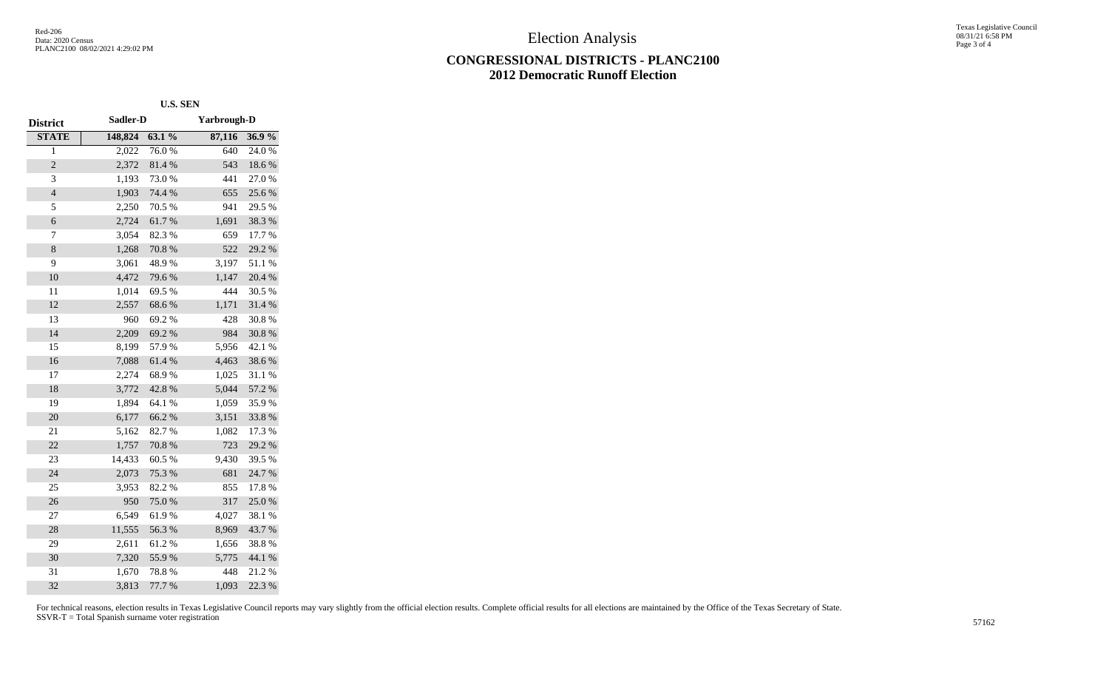Election Analysis

## **CONGRESSIONAL DISTRICTS - PLANC2100 2012 Democratic Runoff Election**

Texas Legislative Council 08/31/21 6:58 PM Page 3 of 4

|                 |          | <b>U.S. SEN</b> |                    |        |
|-----------------|----------|-----------------|--------------------|--------|
| <b>District</b> | Sadler-D |                 | <b>Yarbrough-D</b> |        |
| <b>STATE</b>    | 148,824  | $63.1\%$        | 87,116             | 36.9%  |
| 1               | 2,022    | 76.0%           | 640                | 24.0%  |
| $\overline{c}$  | 2,372    | 81.4%           | 543                | 18.6%  |
| 3               | 1,193    | 73.0%           | 441                | 27.0%  |
| $\overline{4}$  | 1,903    | 74.4 %          | 655                | 25.6%  |
| 5               | 2,250    | 70.5 %          | 941                | 29.5 % |
| 6               | 2,724    | 61.7%           | 1,691              | 38.3%  |
| 7               | 3,054    | 82.3%           | 659                | 17.7 % |
| 8               | 1,268    | 70.8%           | 522                | 29.2 % |
| 9               | 3,061    | 48.9%           | 3,197              | 51.1%  |
| 10              | 4,472    | 79.6%           | 1,147              | 20.4 % |
| 11              | 1,014    | 69.5%           | 444                | 30.5 % |
| 12              | 2,557    | 68.6%           | 1,171              | 31.4%  |
| 13              | 960      | 69.2%           | 428                | 30.8%  |
| 14              | 2,209    | 69.2%           | 984                | 30.8%  |
| 15              | 8,199    | 57.9%           | 5,956              | 42.1 % |
| 16              | 7,088    | 61.4%           | 4,463              | 38.6%  |
| 17              | 2,274    | 68.9%           | 1,025              | 31.1 % |
| 18              | 3,772    | 42.8%           | 5,044              | 57.2 % |
| 19              | 1,894    | 64.1 %          | 1,059              | 35.9%  |
| 20              | 6,177    | 66.2%           | 3,151              | 33.8%  |
| 21              | 5,162    | 82.7%           | 1,082              | 17.3 % |
| 22              | 1,757    | 70.8%           | 723                | 29.2 % |
| 23              | 14,433   | 60.5 %          | 9,430              | 39.5 % |
| 24              | 2,073    | 75.3 %          | 681                | 24.7%  |
| 25              | 3,953    | 82.2%           | 855                | 17.8%  |
| 26              | 950      | 75.0%           | 317                | 25.0%  |
| 27              | 6,549    | 61.9%           | 4,027              | 38.1 % |
| 28              | 11,555   | 56.3%           | 8,969              | 43.7%  |
| 29              | 2,611    | 61.2%           | 1,656              | 38.8 % |
| 30              | 7,320    | 55.9%           | 5,775              | 44.1 % |
| 31              | 1,670    | 78.8%           | 448                | 21.2%  |
| 32              | 3,813    | 77.7 %          | 1,093              | 22.3 % |